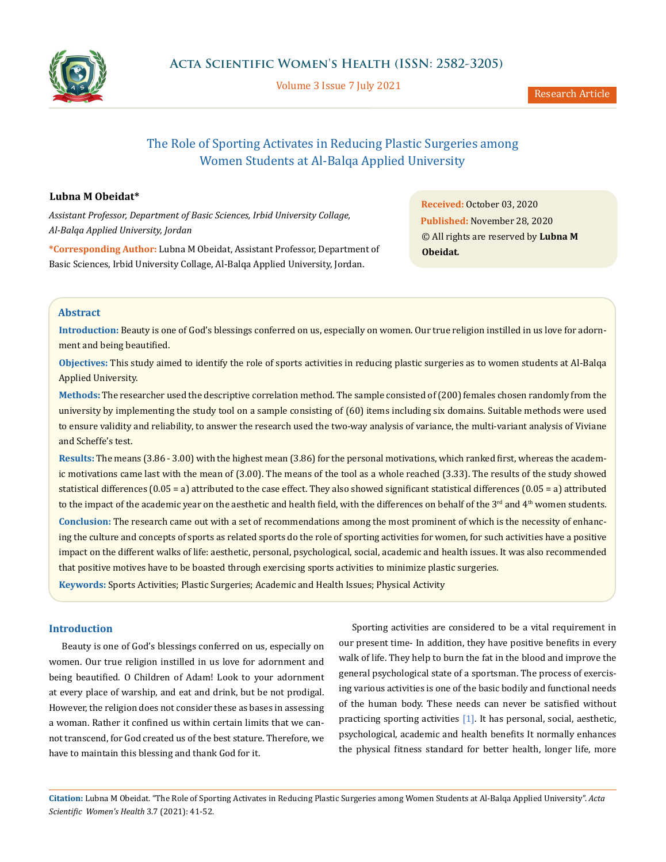

Volume 3 Issue 7 July 2021

# The Role of Sporting Activates in Reducing Plastic Surgeries among Women Students at Al-Balqa Applied University

### **Lubna M Obeidat\***

*Assistant Professor, Department of Basic Sciences, Irbid University Collage, Al-Balqa Applied University, Jordan*

**\*Corresponding Author:** Lubna M Obeidat, Assistant Professor, Department of Basic Sciences, Irbid University Collage, Al-Balqa Applied University, Jordan.

**Received:** October 03, 2020 **Published:** November 28, 2020 © All rights are reserved by **Lubna M Obeidat***.*

### **Abstract**

**Introduction:** Beauty is one of God's blessings conferred on us, especially on women. Our true religion instilled in us love for adornment and being beautified.

**Objectives:** This study aimed to identify the role of sports activities in reducing plastic surgeries as to women students at Al-Balqa Applied University.

**Methods:** The researcher used the descriptive correlation method. The sample consisted of (200) females chosen randomly from the university by implementing the study tool on a sample consisting of (60) items including six domains. Suitable methods were used to ensure validity and reliability, to answer the research used the two-way analysis of variance, the multi-variant analysis of Viviane and Scheffe's test.

**Results:** The means (3.86 - 3.00) with the highest mean (3.86) for the personal motivations, which ranked first, whereas the academic motivations came last with the mean of (3.00). The means of the tool as a whole reached (3.33). The results of the study showed statistical differences (0.05 = a) attributed to the case effect. They also showed significant statistical differences (0.05 = a) attributed to the impact of the academic year on the aesthetic and health field, with the differences on behalf of the 3<sup>rd</sup> and 4<sup>th</sup> women students. **Conclusion:** The research came out with a set of recommendations among the most prominent of which is the necessity of enhancing the culture and concepts of sports as related sports do the role of sporting activities for women, for such activities have a positive impact on the different walks of life: aesthetic, personal, psychological, social, academic and health issues. It was also recommended that positive motives have to be boasted through exercising sports activities to minimize plastic surgeries.

**Keywords:** Sports Activities; Plastic Surgeries; Academic and Health Issues; Physical Activity

### **Introduction**

Beauty is one of God's blessings conferred on us, especially on women. Our true religion instilled in us love for adornment and being beautified. O Children of Adam! Look to your adornment at every place of warship, and eat and drink, but be not prodigal. However, the religion does not consider these as bases in assessing a woman. Rather it confined us within certain limits that we cannot transcend, for God created us of the best stature. Therefore, we have to maintain this blessing and thank God for it.

Sporting activities are considered to be a vital requirement in our present time- In addition, they have positive benefits in every walk of life. They help to burn the fat in the blood and improve the general psychological state of a sportsman. The process of exercising various activities is one of the basic bodily and functional needs of the human body. These needs can never be satisfied without practicing sporting activities [1]. It has personal, social, aesthetic, psychological, academic and health benefits It normally enhances the physical fitness standard for better health, longer life, more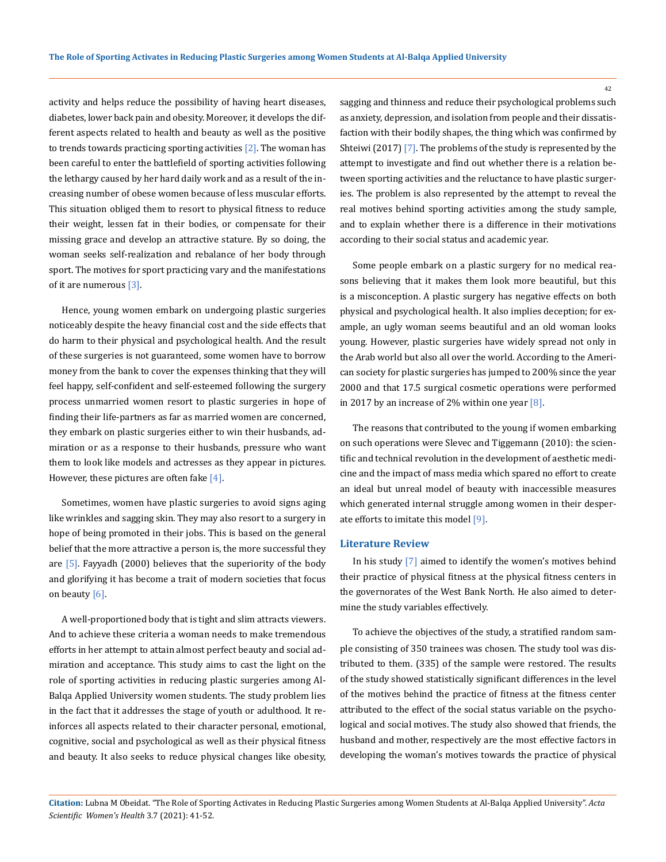activity and helps reduce the possibility of having heart diseases, diabetes, lower back pain and obesity. Moreover, it develops the different aspects related to health and beauty as well as the positive to trends towards practicing sporting activities  $[2]$ . The woman has been careful to enter the battlefield of sporting activities following the lethargy caused by her hard daily work and as a result of the increasing number of obese women because of less muscular efforts. This situation obliged them to resort to physical fitness to reduce their weight, lessen fat in their bodies, or compensate for their missing grace and develop an attractive stature. By so doing, the woman seeks self-realization and rebalance of her body through sport. The motives for sport practicing vary and the manifestations of it are numerous [3].

Hence, young women embark on undergoing plastic surgeries noticeably despite the heavy financial cost and the side effects that do harm to their physical and psychological health. And the result of these surgeries is not guaranteed, some women have to borrow money from the bank to cover the expenses thinking that they will feel happy, self-confident and self-esteemed following the surgery process unmarried women resort to plastic surgeries in hope of finding their life-partners as far as married women are concerned, they embark on plastic surgeries either to win their husbands, admiration or as a response to their husbands, pressure who want them to look like models and actresses as they appear in pictures. However, these pictures are often fake  $[4]$ .

Sometimes, women have plastic surgeries to avoid signs aging like wrinkles and sagging skin. They may also resort to a surgery in hope of being promoted in their jobs. This is based on the general belief that the more attractive a person is, the more successful they are  $[5]$ . Fayyadh (2000) believes that the superiority of the body and glorifying it has become a trait of modern societies that focus on beauty [6].

A well-proportioned body that is tight and slim attracts viewers. And to achieve these criteria a woman needs to make tremendous efforts in her attempt to attain almost perfect beauty and social admiration and acceptance. This study aims to cast the light on the role of sporting activities in reducing plastic surgeries among Al-Balqa Applied University women students. The study problem lies in the fact that it addresses the stage of youth or adulthood. It reinforces all aspects related to their character personal, emotional, cognitive, social and psychological as well as their physical fitness and beauty. It also seeks to reduce physical changes like obesity,

sagging and thinness and reduce their psychological problems such as anxiety, depression, and isolation from people and their dissatisfaction with their bodily shapes, the thing which was confirmed by Shteiwi (2017) [7]. The problems of the study is represented by the attempt to investigate and find out whether there is a relation between sporting activities and the reluctance to have plastic surgeries. The problem is also represented by the attempt to reveal the real motives behind sporting activities among the study sample, and to explain whether there is a difference in their motivations according to their social status and academic year.

Some people embark on a plastic surgery for no medical reasons believing that it makes them look more beautiful, but this is a misconception. A plastic surgery has negative effects on both physical and psychological health. It also implies deception; for example, an ugly woman seems beautiful and an old woman looks young. However, plastic surgeries have widely spread not only in the Arab world but also all over the world. According to the American society for plastic surgeries has jumped to 200% since the year 2000 and that 17.5 surgical cosmetic operations were performed in 2017 by an increase of 2% within one year  $[8]$ .

The reasons that contributed to the young if women embarking on such operations were Slevec and Tiggemann (2010): the scientific and technical revolution in the development of aesthetic medicine and the impact of mass media which spared no effort to create an ideal but unreal model of beauty with inaccessible measures which generated internal struggle among women in their desperate efforts to imitate this model [9].

### **Literature Review**

In his study [7] aimed to identify the women's motives behind their practice of physical fitness at the physical fitness centers in the governorates of the West Bank North. He also aimed to determine the study variables effectively.

To achieve the objectives of the study, a stratified random sample consisting of 350 trainees was chosen. The study tool was distributed to them. (335) of the sample were restored. The results of the study showed statistically significant differences in the level of the motives behind the practice of fitness at the fitness center attributed to the effect of the social status variable on the psychological and social motives. The study also showed that friends, the husband and mother, respectively are the most effective factors in developing the woman's motives towards the practice of physical

**Citation:** Lubna M Obeidat*.* "The Role of Sporting Activates in Reducing Plastic Surgeries among Women Students at Al-Balqa Applied University". *Acta Scientific Women's Health* 3.7 (2021): 41-52.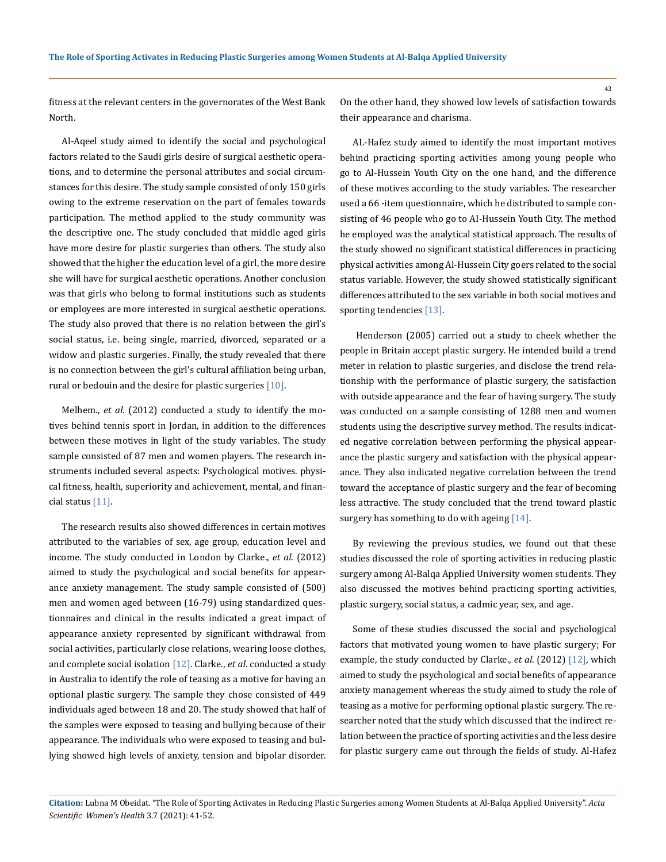fitness at the relevant centers in the governorates of the West Bank North.

Al-Aqeel study aimed to identify the social and psychological factors related to the Saudi girls desire of surgical aesthetic operations, and to determine the personal attributes and social circumstances for this desire. The study sample consisted of only 150 girls owing to the extreme reservation on the part of females towards participation. The method applied to the study community was the descriptive one. The study concluded that middle aged girls have more desire for plastic surgeries than others. The study also showed that the higher the education level of a girl, the more desire she will have for surgical aesthetic operations. Another conclusion was that girls who belong to formal institutions such as students or employees are more interested in surgical aesthetic operations. The study also proved that there is no relation between the girl's social status, i.e. being single, married, divorced, separated or a widow and plastic surgeries. Finally, the study revealed that there is no connection between the girl's cultural affiliation being urban, rural or bedouin and the desire for plastic surgeries [10].

Melhem., *et al*. (2012) conducted a study to identify the motives behind tennis sport in Jordan, in addition to the differences between these motives in light of the study variables. The study sample consisted of 87 men and women players. The research instruments included several aspects: Psychological motives. physical fitness, health, superiority and achievement, mental, and financial status [11].

The research results also showed differences in certain motives attributed to the variables of sex, age group, education level and income. The study conducted in London by Clarke., *et al*. (2012) aimed to study the psychological and social benefits for appearance anxiety management. The study sample consisted of (500) men and women aged between (16-79) using standardized questionnaires and clinical in the results indicated a great impact of appearance anxiety represented by significant withdrawal from social activities, particularly close relations, wearing loose clothes, and complete social isolation [12]. Clarke., *et al*. conducted a study in Australia to identify the role of teasing as a motive for having an optional plastic surgery. The sample they chose consisted of 449 individuals aged between 18 and 20. The study showed that half of the samples were exposed to teasing and bullying because of their appearance. The individuals who were exposed to teasing and bullying showed high levels of anxiety, tension and bipolar disorder.

On the other hand, they showed low levels of satisfaction towards their appearance and charisma.

AL-Hafez study aimed to identify the most important motives behind practicing sporting activities among young people who go to Al-Hussein Youth City on the one hand, and the difference of these motives according to the study variables. The researcher used a 66 -item questionnaire, which he distributed to sample consisting of 46 people who go to AI-Hussein Youth City. The method he employed was the analytical statistical approach. The results of the study showed no significant statistical differences in practicing physical activities among Al-Hussein City goers related to the social status variable. However, the study showed statistically significant differences attributed to the sex variable in both social motives and sporting tendencies [13].

Henderson (2005) carried out a study to cheek whether the people in Britain accept plastic surgery. He intended build a trend meter in relation to plastic surgeries, and disclose the trend relationship with the performance of plastic surgery, the satisfaction with outside appearance and the fear of having surgery. The study was conducted on a sample consisting of 1288 men and women students using the descriptive survey method. The results indicated negative correlation between performing the physical appearance the plastic surgery and satisfaction with the physical appearance. They also indicated negative correlation between the trend toward the acceptance of plastic surgery and the fear of becoming less attractive. The study concluded that the trend toward plastic surgery has something to do with ageing [14].

By reviewing the previous studies, we found out that these studies discussed the role of sporting activities in reducing plastic surgery among Al-Balqa Applied University women students. They also discussed the motives behind practicing sporting activities, plastic surgery, social status, a cadmic year, sex, and age.

Some of these studies discussed the social and psychological factors that motivated young women to have plastic surgery; For example, the study conducted by Clarke., *et al*. (2012) [12], which aimed to study the psychological and social benefits of appearance anxiety management whereas the study aimed to study the role of teasing as a motive for performing optional plastic surgery. The researcher noted that the study which discussed that the indirect relation between the practice of sporting activities and the less desire for plastic surgery came out through the fields of study. Al-Hafez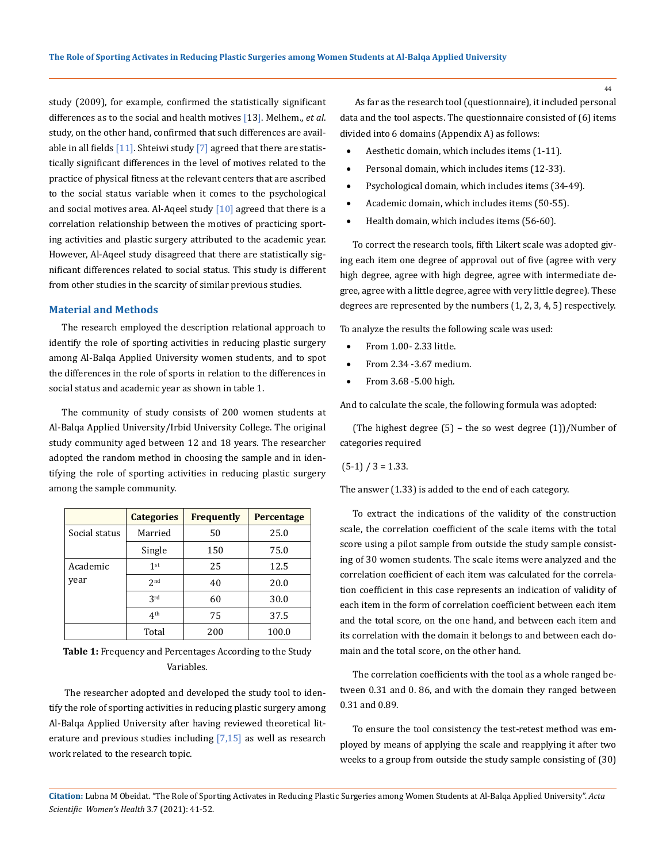study (2009), for example, confirmed the statistically significant differences as to the social and health motives [13]. Melhem., *et al*. study, on the other hand, confirmed that such differences are available in all fields  $[11]$ . Shteiwi study  $[7]$  agreed that there are statistically significant differences in the level of motives related to the practice of physical fitness at the relevant centers that are ascribed to the social status variable when it comes to the psychological and social motives area. Al-Aqeel study  $[10]$  agreed that there is a correlation relationship between the motives of practicing sporting activities and plastic surgery attributed to the academic year. However, Al-Aqeel study disagreed that there are statistically significant differences related to social status. This study is different from other studies in the scarcity of similar previous studies.

#### **Material and Methods**

The research employed the description relational approach to identify the role of sporting activities in reducing plastic surgery among Al-Balqa Applied University women students, and to spot the differences in the role of sports in relation to the differences in social status and academic year as shown in table 1.

The community of study consists of 200 women students at Al-Balqa Applied University/Irbid University College. The original study community aged between 12 and 18 years. The researcher adopted the random method in choosing the sample and in identifying the role of sporting activities in reducing plastic surgery among the sample community.

|               | <b>Categories</b> | <b>Frequently</b> | Percentage |
|---------------|-------------------|-------------------|------------|
| Social status | Married           | 50                | 25.0       |
|               | Single            | 150               | 75.0       |
| Academic      | 1 <sup>st</sup>   | 25                | 12.5       |
| year          | 2 <sub>nd</sub>   | 40                | 20.0       |
|               | 2rd               | 60                | 30.0       |
|               | 4 <sup>th</sup>   | 75                | 37.5       |
|               | Total             | 200               | 100.0      |

**Table 1:** Frequency and Percentages According to the Study Variables.

 The researcher adopted and developed the study tool to identify the role of sporting activities in reducing plastic surgery among Al-Balqa Applied University after having reviewed theoretical literature and previous studies including  $[7,15]$  as well as research work related to the research topic.

 As far as the research tool (questionnaire), it included personal data and the tool aspects. The questionnaire consisted of (6) items divided into 6 domains (Appendix A) as follows:

- Aesthetic domain, which includes items (1-11).
- Personal domain, which includes items (12-33).
- Psychological domain, which includes items (34-49).
- Academic domain, which includes items (50-55).
- Health domain, which includes items (56-60).

To correct the research tools, fifth Likert scale was adopted giving each item one degree of approval out of five (agree with very high degree, agree with high degree, agree with intermediate degree, agree with a little degree, agree with very little degree). These degrees are represented by the numbers (1, 2, 3, 4, 5) respectively.

To analyze the results the following scale was used:

- From 1.00- 2.33 little.
- From 2.34 -3.67 medium.
- From 3.68 -5.00 high.

And to calculate the scale, the following formula was adopted:

(The highest degree  $(5)$  – the so west degree  $(1)$ )/Number of categories required

 $(5-1) / 3 = 1.33$ .

The answer (1.33) is added to the end of each category.

To extract the indications of the validity of the construction scale, the correlation coefficient of the scale items with the total score using a pilot sample from outside the study sample consisting of 30 women students. The scale items were analyzed and the correlation coefficient of each item was calculated for the correlation coefficient in this case represents an indication of validity of each item in the form of correlation coefficient between each item and the total score, on the one hand, and between each item and its correlation with the domain it belongs to and between each domain and the total score, on the other hand.

The correlation coefficients with the tool as a whole ranged between 0.31 and 0. 86, and with the domain they ranged between 0.31 and 0.89.

To ensure the tool consistency the test-retest method was employed by means of applying the scale and reapplying it after two weeks to a group from outside the study sample consisting of (30)

**Citation:** Lubna M Obeidat*.* "The Role of Sporting Activates in Reducing Plastic Surgeries among Women Students at Al-Balqa Applied University". *Acta Scientific Women's Health* 3.7 (2021): 41-52.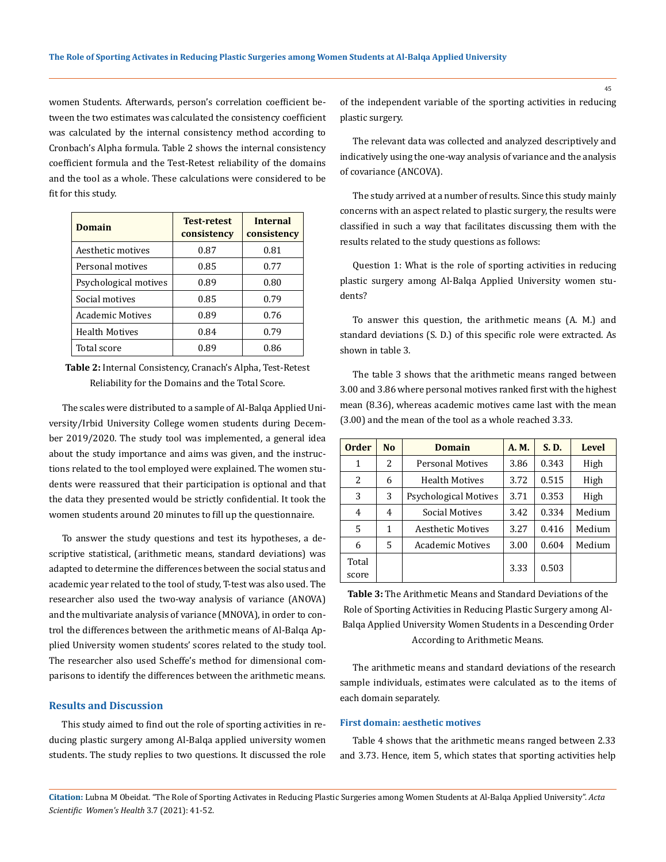women Students. Afterwards, person's correlation coefficient between the two estimates was calculated the consistency coefficient was calculated by the internal consistency method according to Cronbach's Alpha formula. Table 2 shows the internal consistency coefficient formula and the Test-Retest reliability of the domains and the tool as a whole. These calculations were considered to be fit for this study.

| <b>Domain</b>           | <b>Test-retest</b><br>consistency | <b>Internal</b><br>consistency |
|-------------------------|-----------------------------------|--------------------------------|
| Aesthetic motives       | 0.87                              | 0.81                           |
| Personal motives        | 0.85                              | 0.77                           |
| Psychological motives   | 0.89                              | 0.80                           |
| Social motives          | 0.85                              | 0.79                           |
| <b>Academic Motives</b> | 0.89                              | 0.76                           |
| <b>Health Motives</b>   | 0.84                              | 0.79                           |
| Total score             | 0.89                              | 0.86                           |

**Table 2:** Internal Consistency, Cranach's Alpha, Test-Retest Reliability for the Domains and the Total Score.

The scales were distributed to a sample of Al-Balqa Applied University/Irbid University College women students during December 2019/2020. The study tool was implemented, a general idea about the study importance and aims was given, and the instructions related to the tool employed were explained. The women students were reassured that their participation is optional and that the data they presented would be strictly confidential. It took the women students around 20 minutes to fill up the questionnaire.

To answer the study questions and test its hypotheses, a descriptive statistical, (arithmetic means, standard deviations) was adapted to determine the differences between the social status and academic year related to the tool of study, T-test was also used. The researcher also used the two-way analysis of variance (ANOVA) and the multivariate analysis of variance (MNOVA), in order to control the differences between the arithmetic means of Al-Balqa Applied University women students' scores related to the study tool. The researcher also used Scheffe's method for dimensional comparisons to identify the differences between the arithmetic means.

### **Results and Discussion**

This study aimed to find out the role of sporting activities in reducing plastic surgery among Al-Balqa applied university women students. The study replies to two questions. It discussed the role of the independent variable of the sporting activities in reducing plastic surgery.

The relevant data was collected and analyzed descriptively and indicatively using the one-way analysis of variance and the analysis of covariance (ANCOVA).

The study arrived at a number of results. Since this study mainly concerns with an aspect related to plastic surgery, the results were classified in such a way that facilitates discussing them with the results related to the study questions as follows:

Question 1: What is the role of sporting activities in reducing plastic surgery among Al-Balqa Applied University women students?

To answer this question, the arithmetic means (A. M.) and standard deviations (S. D.) of this specific role were extracted. As shown in table 3.

The table 3 shows that the arithmetic means ranged between 3.00 and 3.86 where personal motives ranked first with the highest mean (8.36), whereas academic motives came last with the mean (3.00) and the mean of the tool as a whole reached 3.33.

| <b>Order</b> | N <sub>0</sub> | <b>Domain</b>                | A. M. | S. D. | <b>Level</b> |
|--------------|----------------|------------------------------|-------|-------|--------------|
| 1            | 2              | <b>Personal Motives</b>      | 3.86  | 0.343 | High         |
| 2            | 6              | <b>Health Motives</b>        | 3.72  | 0.515 | High         |
| 3            | 3              | <b>Psychological Motives</b> | 3.71  | 0.353 | High         |
| 4            | 4              | Social Motives               | 3.42  | 0.334 | Medium       |
| 5            | 1              | Aesthetic Motives            | 3.27  | 0.416 | Medium       |
| 6            | 5              | <b>Academic Motives</b>      | 3.00  | 0.604 | Medium       |
| Total        |                |                              | 3.33  | 0.503 |              |
| score        |                |                              |       |       |              |

**Table 3:** The Arithmetic Means and Standard Deviations of the Role of Sporting Activities in Reducing Plastic Surgery among Al-Balqa Applied University Women Students in a Descending Order According to Arithmetic Means.

The arithmetic means and standard deviations of the research sample individuals, estimates were calculated as to the items of each domain separately.

### **First domain: aesthetic motives**

Table 4 shows that the arithmetic means ranged between 2.33 and 3.73. Hence, item 5, which states that sporting activities help

**Citation:** Lubna M Obeidat*.* "The Role of Sporting Activates in Reducing Plastic Surgeries among Women Students at Al-Balqa Applied University". *Acta Scientific Women's Health* 3.7 (2021): 41-52.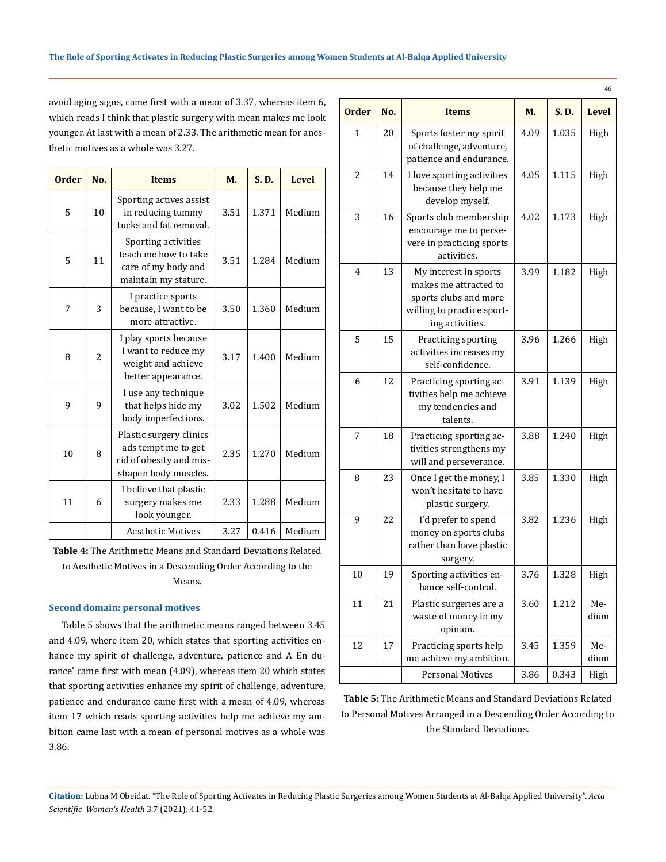avoid aging signs, came first with a mean of 3.37, whereas item 6, which reads I think that plastic surgery with mean makes me look younger. At last with a mean of 2.33. The arithmetic mean for anesthetic motives as a whole was 3.27.

| <b>Order</b> | No.            | <b>Items</b>                                                                                      | M.   | S. D. | <b>Level</b> |
|--------------|----------------|---------------------------------------------------------------------------------------------------|------|-------|--------------|
| 5            | 10             | Sporting actives assist<br>in reducing tummy<br>tucks and fat removal.                            | 3.51 | 1.371 | Medium       |
| 5            | 11             | Sporting activities<br>teach me how to take<br>care of my body and<br>maintain my stature.        | 3.51 | 1.284 | Medium       |
| 7            | 3              | I practice sports<br>because, I want to be<br>more attractive.                                    | 3.50 | 1.360 | Medium       |
| 8            | $\overline{a}$ | I play sports because<br>I want to reduce my<br>weight and achieve<br>better appearance.          | 3.17 | 1.400 | Medium       |
| 9            | 9              | I use any technique<br>that helps hide my<br>body imperfections.                                  | 3.02 | 1.502 | Medium       |
| 10           | 8              | Plastic surgery clinics<br>ads tempt me to get<br>rid of obesity and mis-<br>shapen body muscles. | 2.35 | 1.270 | Medium       |
| 11           | 6              | I believe that plastic<br>surgery makes me<br>look younger.                                       | 2.33 | 1.288 | Medium       |
|              |                | <b>Aesthetic Motives</b>                                                                          | 3.27 | 0.416 | Medium       |

**Table 4:** The Arithmetic Means and Standard Deviations Related to Aesthetic Motives in a Descending Order According to the Means.

#### **Second domain: personal motives**

Table 5 shows that the arithmetic means ranged between 3.45 and 4.09, where item 20, which states that sporting activities enhance my spirit of challenge, adventure, patience and A En durance' came first with mean (4.09), whereas item 20 which states that sporting activities enhance my spirit of challenge, adventure, patience and endurance came first with a mean of 4.09, whereas item 17 which reads sporting activities help me achieve my ambition came last with a mean of personal motives as a whole was 3.86.

| <b>Order</b>   | No. | <b>Items</b>                                                                                                             | М.   | S.D.  | <b>Level</b> |
|----------------|-----|--------------------------------------------------------------------------------------------------------------------------|------|-------|--------------|
| 1              | 20  | Sports foster my spirit<br>of challenge, adventure,<br>patience and endurance.                                           | 4.09 | 1.035 | High         |
| 2              | 14  | I love sporting activities<br>because they help me<br>develop myself.                                                    | 4.05 | 1.115 | High         |
| 3              | 16  | Sports club membership<br>encourage me to perse-<br>vere in practicing sports<br>activities.                             | 4.02 | 1.173 | High         |
| $\overline{4}$ | 13  | My interest in sports<br>makes me attracted to<br>sports clubs and more<br>willing to practice sport-<br>ing activities. | 3.99 | 1.182 | High         |
| 5              | 15  | Practicing sporting<br>activities increases my<br>self-confidence.                                                       | 3.96 | 1.266 | High         |
| 6              | 12  | Practicing sporting ac-<br>tivities help me achieve<br>my tendencies and<br>talents.                                     | 3.91 | 1.139 | High         |
| 7              | 18  | Practicing sporting ac-<br>tivities strengthens my<br>will and perseverance.                                             | 3.88 | 1.240 | High         |
| 8              | 23  | Once I get the money, I<br>won't hesitate to have<br>plastic surgery.                                                    | 3.85 | 1.330 | High         |
| 9              | 22  | I'd prefer to spend<br>money on sports clubs<br>rather than have plastic<br>surgery.                                     | 3.82 | 1.236 | High         |
| 10             | 19  | Sporting activities en-<br>hance self-control.                                                                           | 3.76 | 1.328 | High         |
| 11             | 21  | Plastic surgeries are a<br>waste of money in my<br>opinion.                                                              | 3.60 | 1.212 | Me-<br>dium  |
| 12             | 17  | Practicing sports help<br>me achieve my ambition.                                                                        | 3.45 | 1.359 | Me-<br>dium  |
|                |     | <b>Personal Motives</b>                                                                                                  | 3.86 | 0.343 | High         |

**Table 5:** The Arithmetic Means and Standard Deviations Related to Personal Motives Arranged in a Descending Order According to the Standard Deviations.

**Citation:** Lubna M Obeidat*.* "The Role of Sporting Activates in Reducing Plastic Surgeries among Women Students at Al-Balqa Applied University". *Acta Scientific Women's Health* 3.7 (2021): 41-52.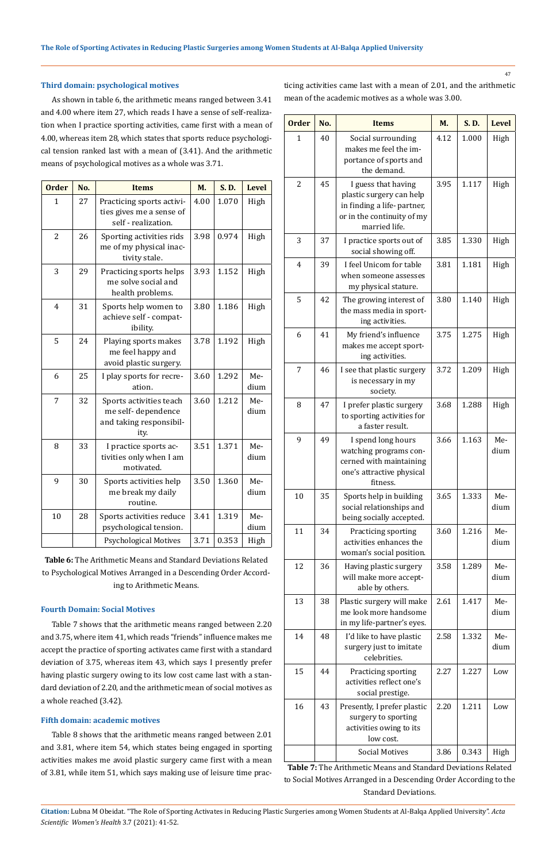### **Third domain: psychological motives**

As shown in table 6, the arithmetic means ranged between 3.41 and 4.00 where item 27, which reads I have a sense of self-realization when I practice sporting activities, came first with a mean of 4.00, whereas item 28, which states that sports reduce psychological tension ranked last with a mean of (3.41). And the arithmetic means of psychological motives as a whole was 3.71.

| <b>Order</b>   | No. | <b>Items</b>                                                                     | M.   | S. D. | <b>Level</b> |
|----------------|-----|----------------------------------------------------------------------------------|------|-------|--------------|
| $\mathbf{1}$   | 27  | Practicing sports activi-<br>ties gives me a sense of<br>self - realization.     | 4.00 | 1.070 | High         |
| $\overline{c}$ | 26  | Sporting activities rids<br>me of my physical inac-<br>tivity stale.             | 3.98 | 0.974 | High         |
| 3              | 29  | Practicing sports helps<br>me solve social and<br>health problems.               | 3.93 | 1.152 | High         |
| 4              | 31  | Sports help women to<br>achieve self - compat-<br>ibility.                       | 3.80 | 1.186 | High         |
| 5              | 24  | Playing sports makes<br>me feel happy and<br>avoid plastic surgery.              | 3.78 | 1.192 | High         |
| 6              | 25  | I play sports for recre-<br>ation.                                               | 3.60 | 1.292 | Me-<br>dium  |
| 7              | 32  | Sports activities teach<br>me self-dependence<br>and taking responsibil-<br>ity. | 3.60 | 1.212 | Me-<br>dium  |
| 8              | 33  | I practice sports ac-<br>tivities only when I am<br>motivated.                   | 3.51 | 1.371 | Me-<br>dium  |
| 9              | 30  | Sports activities help<br>me break my daily<br>routine.                          | 3.50 | 1.360 | Me-<br>dium  |
| 10             | 28  | Sports activities reduce<br>psychological tension.                               | 3.41 | 1.319 | Me-<br>dium  |
|                |     | <b>Psychological Motives</b>                                                     | 3.71 | 0.353 | High         |

**Table 6:** The Arithmetic Means and Standard Deviations Related to Psychological Motives Arranged in a Descending Order According to Arithmetic Means.

### **Fourth Domain: Social Motives**

Table 7 shows that the arithmetic means ranged between 2.20 and 3.75, where item 41, which reads "friends" influence makes me accept the practice of sporting activates came first with a standard deviation of 3.75, whereas item 43, which says I presently prefer having plastic surgery owing to its low cost came last with a standard deviation of 2.20, and the arithmetic mean of social motives as a whole reached (3.42).

### **Fifth domain: academic motives**

Table 8 shows that the arithmetic means ranged between 2.01 and 3.81, where item 54, which states being engaged in sporting activities makes me avoid plastic surgery came first with a mean of 3.81, while item 51, which says making use of leisure time practicing activities came last with a mean of 2.01, and the arithmetic mean of the academic motives as a whole was 3.00.

| <b>Order</b> | No. | <b>Items</b>                                                                                                                 | M.   | S.D.  |             |  |
|--------------|-----|------------------------------------------------------------------------------------------------------------------------------|------|-------|-------------|--|
| 1            | 40  | Social surrounding<br>makes me feel the im-<br>portance of sports and<br>the demand.                                         | 4.12 | 1.000 | High        |  |
| 2            | 45  | I guess that having<br>plastic surgery can help<br>in finding a life-partner,<br>or in the continuity of my<br>married life. | 3.95 | 1.117 | High        |  |
| 3            | 37  | I practice sports out of<br>social showing off.                                                                              | 3.85 | 1.330 | High        |  |
| 4            | 39  | I feel Unicom for table<br>when someone assesses<br>my physical stature.                                                     | 3.81 | 1.181 | High        |  |
| 5            | 42  | The growing interest of<br>the mass media in sport-<br>ing activities.                                                       | 3.80 | 1.140 | High        |  |
| 6            | 41  | My friend's influence<br>makes me accept sport-<br>ing activities.                                                           | 3.75 | 1.275 | High        |  |
| 7            | 46  | I see that plastic surgery<br>is necessary in my<br>society.                                                                 | 3.72 | 1.209 | High        |  |
| 8            | 47  | I prefer plastic surgery<br>to sporting activities for<br>a faster result.                                                   | 3.68 | 1.288 | High        |  |
| 9            | 49  | I spend long hours<br>watching programs con-<br>cerned with maintaining<br>one's attractive physical<br>fitness.             | 3.66 | 1.163 | Me-<br>dium |  |
| 10           | 35  | Sports help in building<br>social relationships and<br>being socially accepted.                                              | 3.65 | 1.333 | Me-<br>dium |  |
| 11           | 34  | Practicing sporting<br>activities enhances the<br>woman's social position.                                                   | 3.60 | 1.216 | Me-<br>dium |  |
| 12           | 36  | Having plastic surgery<br>will make more accept-<br>able by others.                                                          | 3.58 | 1.289 | Me-<br>dium |  |
| 13           | 38  | Plastic surgery will make<br>me look more handsome<br>in my life-partner's eyes.                                             | 2.61 | 1.417 | Me-<br>dium |  |
| 14           | 48  | I'd like to have plastic<br>surgery just to imitate<br>celebrities.                                                          | 2.58 | 1.332 | Me-<br>dium |  |
| 15           | 44  | Practicing sporting<br>activities reflect one's<br>social prestige.                                                          | 2.27 | 1.227 | Low         |  |
| 16           | 43  | Presently, I prefer plastic<br>surgery to sporting<br>activities owing to its<br>low cost.                                   | 2.20 | 1.211 | Low         |  |
|              |     | <b>Social Motives</b>                                                                                                        | 3.86 | 0.343 | High        |  |

**Table 7:** The Arithmetic Means and Standard Deviations Related to Social Motives Arranged in a Descending Order According to the Standard Deviations.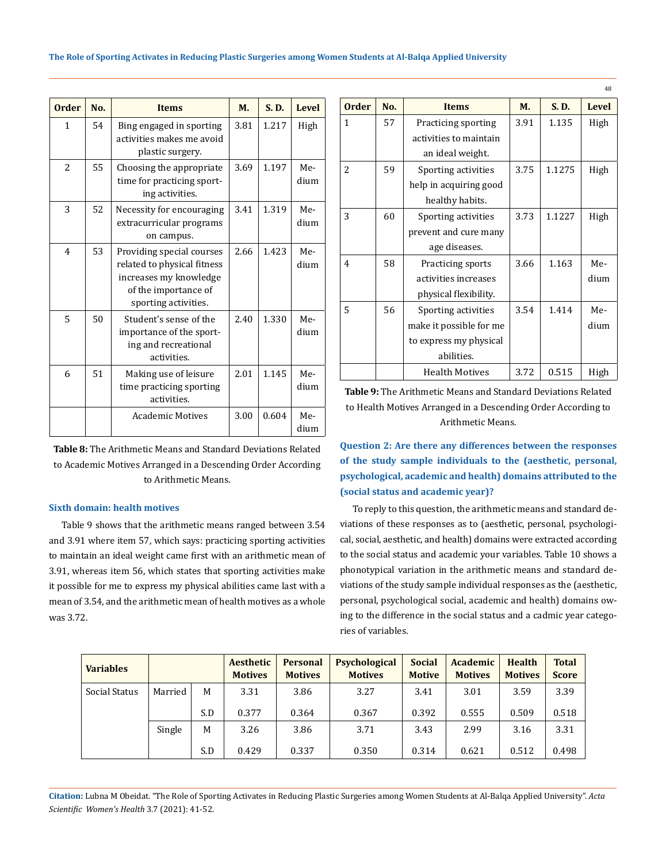| <b>Order</b>   | No. | <b>Items</b>                                                                                                                       | M.   | S. D. | <b>Level</b> |
|----------------|-----|------------------------------------------------------------------------------------------------------------------------------------|------|-------|--------------|
| $\mathbf{1}$   | 54  | Bing engaged in sporting<br>activities makes me avoid<br>plastic surgery.                                                          | 3.81 | 1.217 | High         |
| $\overline{a}$ | 55  | Choosing the appropriate<br>time for practicing sport-<br>ing activities.                                                          | 3.69 | 1.197 | Me-<br>dium  |
| 3              | 52  | Necessity for encouraging<br>extracurricular programs<br>on campus.                                                                | 3.41 | 1.319 | Me-<br>dium  |
| $\overline{4}$ | 53  | Providing special courses<br>related to physical fitness<br>increases my knowledge<br>of the importance of<br>sporting activities. | 2.66 | 1.423 | Me-<br>dium  |
| 5              | 50  | Student's sense of the<br>importance of the sport-<br>ing and recreational<br>activities.                                          | 2.40 | 1.330 | Me-<br>dium  |
| 6              | 51  | Making use of leisure<br>time practicing sporting<br>activities.                                                                   | 2.01 | 1.145 | Me-<br>dium  |
|                |     | <b>Academic Motives</b>                                                                                                            | 3.00 | 0.604 | Me-<br>dium  |

**Table 8:** The Arithmetic Means and Standard Deviations Related to Academic Motives Arranged in a Descending Order According to Arithmetic Means.

### **Sixth domain: health motives**

Table 9 shows that the arithmetic means ranged between 3.54 and 3.91 where item 57, which says: practicing sporting activities to maintain an ideal weight came first with an arithmetic mean of 3.91, whereas item 56, which states that sporting activities make it possible for me to express my physical abilities came last with a mean of 3.54, and the arithmetic mean of health motives as a whole was 3.72.

| <b>Order</b>   | No. | <b>Items</b>                          | M.   | S.D.   | <b>Level</b> |
|----------------|-----|---------------------------------------|------|--------|--------------|
| 1              | 57  | Practicing sporting                   | 3.91 | 1.135  | High         |
|                |     | activities to maintain                |      |        |              |
|                |     | an ideal weight.                      |      |        |              |
| 2              | 59  | Sporting activities                   | 3.75 | 1.1275 | High         |
|                |     | help in acquiring good                |      |        |              |
|                |     | healthy habits.                       |      |        |              |
| 3              | 60  | 3.73<br>Sporting activities<br>1.1227 |      | High   |              |
|                |     | prevent and cure many                 |      |        |              |
|                |     | age diseases.                         |      |        |              |
| $\overline{4}$ | 58  | Practicing sports                     | 3.66 | 1.163  | Me-          |
|                |     | activities increases                  |      |        | dium         |
|                |     | physical flexibility.                 |      |        |              |
| 5              | 56  | Sporting activities                   | 3.54 | 1.414  | Me-          |
|                |     | make it possible for me               |      |        | dium         |
|                |     | to express my physical                |      |        |              |
|                |     | abilities.                            |      |        |              |
|                |     | <b>Health Motives</b>                 | 3.72 | 0.515  | High         |

 $\overline{AB}$ 

**Table 9:** The Arithmetic Means and Standard Deviations Related to Health Motives Arranged in a Descending Order According to Arithmetic Means.

**Question 2: Are there any differences between the responses of the study sample individuals to the (aesthetic, personal, psychological, academic and health) domains attributed to the (social status and academic year)?**

To reply to this question, the arithmetic means and standard deviations of these responses as to (aesthetic, personal, psychological, social, aesthetic, and health) domains were extracted according to the social status and academic your variables. Table 10 shows a phonotypical variation in the arithmetic means and standard deviations of the study sample individual responses as the (aesthetic, personal, psychological social, academic and health) domains owing to the difference in the social status and a cadmic year categories of variables.

| <b>Variables</b> |         |     | Aesthetic<br><b>Motives</b> | <b>Personal</b><br><b>Motives</b> | <b>Psychological</b><br><b>Motives</b> | <b>Social</b><br><b>Motive</b> | <b>Academic</b><br><b>Motives</b> | <b>Health</b><br><b>Motives</b> | <b>Total</b><br><b>Score</b> |
|------------------|---------|-----|-----------------------------|-----------------------------------|----------------------------------------|--------------------------------|-----------------------------------|---------------------------------|------------------------------|
| Social Status    | Married | M   | 3.31                        | 3.86                              | 3.27                                   | 3.41                           | 3.01                              | 3.59                            | 3.39                         |
|                  |         | S.D | 0.377                       | 0.364                             | 0.367                                  | 0.392                          | 0.555                             | 0.509                           | 0.518                        |
|                  | Single  | M   | 3.26                        | 3.86                              | 3.71                                   | 3.43                           | 2.99                              | 3.16                            | 3.31                         |
|                  |         | S.D | 0.429                       | 0.337                             | 0.350                                  | 0.314                          | 0.621                             | 0.512                           | 0.498                        |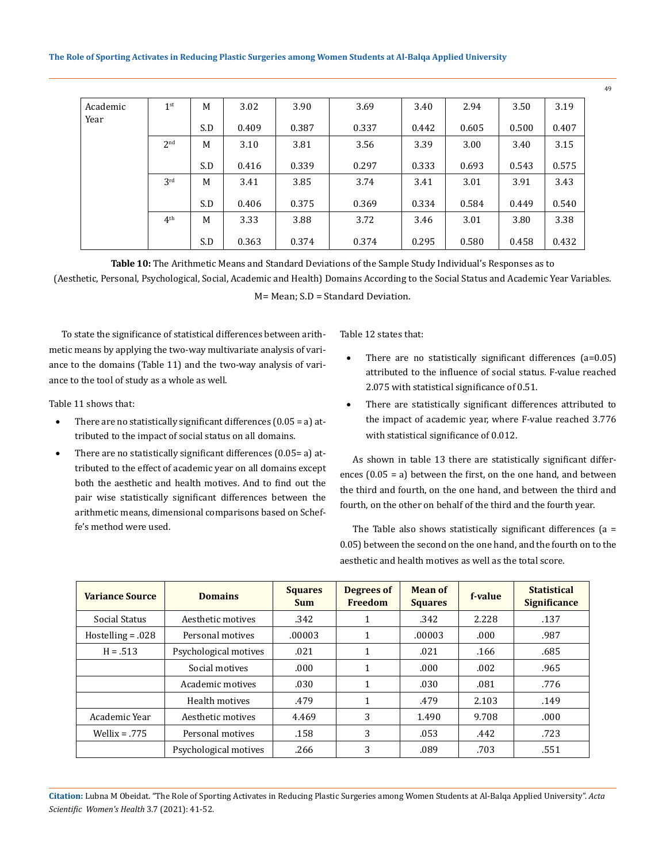| Academic | 1 <sup>st</sup> | M   | 3.02  | 3.90  | 3.69  | 3.40  | 2.94  | 3.50  | 3.19  |
|----------|-----------------|-----|-------|-------|-------|-------|-------|-------|-------|
| Year     |                 | S.D | 0.409 | 0.387 | 0.337 | 0.442 | 0.605 | 0.500 | 0.407 |
|          | 2 <sub>nd</sub> | M   | 3.10  | 3.81  | 3.56  | 3.39  | 3.00  | 3.40  | 3.15  |
|          |                 | S.D | 0.416 | 0.339 | 0.297 | 0.333 | 0.693 | 0.543 | 0.575 |
|          | 3 <sup>rd</sup> | M   | 3.41  | 3.85  | 3.74  | 3.41  | 3.01  | 3.91  | 3.43  |
|          |                 | S.D | 0.406 | 0.375 | 0.369 | 0.334 | 0.584 | 0.449 | 0.540 |
|          | 4 <sup>th</sup> | M   | 3.33  | 3.88  | 3.72  | 3.46  | 3.01  | 3.80  | 3.38  |
|          |                 | S.D | 0.363 | 0.374 | 0.374 | 0.295 | 0.580 | 0.458 | 0.432 |

**Table 10:** The Arithmetic Means and Standard Deviations of the Sample Study Individual's Responses as to (Aesthetic, Personal, Psychological, Social, Academic and Health) Domains According to the Social Status and Academic Year Variables. M= Mean; S.D = Standard Deviation.

To state the significance of statistical differences between arithmetic means by applying the two-way multivariate analysis of variance to the domains (Table 11) and the two-way analysis of variance to the tool of study as a whole as well.

Table 11 shows that:

- There are no statistically significant differences  $(0.05 = a)$  attributed to the impact of social status on all domains.
- There are no statistically significant differences  $(0.05= a)$  attributed to the effect of academic year on all domains except both the aesthetic and health motives. And to find out the pair wise statistically significant differences between the arithmetic means, dimensional comparisons based on Scheffe's method were used.

Table 12 states that:

- There are no statistically significant differences  $(a=0.05)$ attributed to the influence of social status. F-value reached 2.075 with statistical significance of 0.51.
- There are statistically significant differences attributed to the impact of academic year, where F-value reached 3.776 with statistical significance of 0.012.

As shown in table 13 there are statistically significant differences (0.05 = a) between the first, on the one hand, and between the third and fourth, on the one hand, and between the third and fourth, on the other on behalf of the third and the fourth year.

The Table also shows statistically significant differences  $(a =$ 0.05) between the second on the one hand, and the fourth on to the aesthetic and health motives as well as the total score.

| <b>Variance Source</b> | <b>Domains</b>        | <b>Squares</b><br><b>Sum</b> | Degrees of<br><b>Freedom</b> | Mean of<br><b>Squares</b> | f-value | <b>Statistical</b><br><b>Significance</b> |
|------------------------|-----------------------|------------------------------|------------------------------|---------------------------|---------|-------------------------------------------|
| Social Status          | Aesthetic motives     | .342                         | 1                            | .342                      | 2.228   | .137                                      |
| $Hostelling = .028$    | Personal motives      | .00003                       | 1                            | .00003                    | .000    | .987                                      |
| $H = .513$             | Psychological motives | .021                         | 1                            | .021                      | .166    | .685                                      |
|                        | Social motives        | .000                         | 1                            | .000                      | .002    | .965                                      |
|                        | Academic motives      | .030                         | 1                            | .030                      | .081    | .776                                      |
|                        | Health motives        | .479                         | 1                            | .479                      | 2.103   | .149                                      |
| Academic Year          | Aesthetic motives     | 4.469                        | 3                            | 1.490                     | 9.708   | .000.                                     |
| $Wellix = .775$        | Personal motives      | .158                         | 3                            | .053                      | .442    | .723                                      |
|                        | Psychological motives | .266                         | 3                            | .089                      | .703    | .551                                      |

**Citation:** Lubna M Obeidat*.* "The Role of Sporting Activates in Reducing Plastic Surgeries among Women Students at Al-Balqa Applied University". *Acta Scientific Women's Health* 3.7 (2021): 41-52.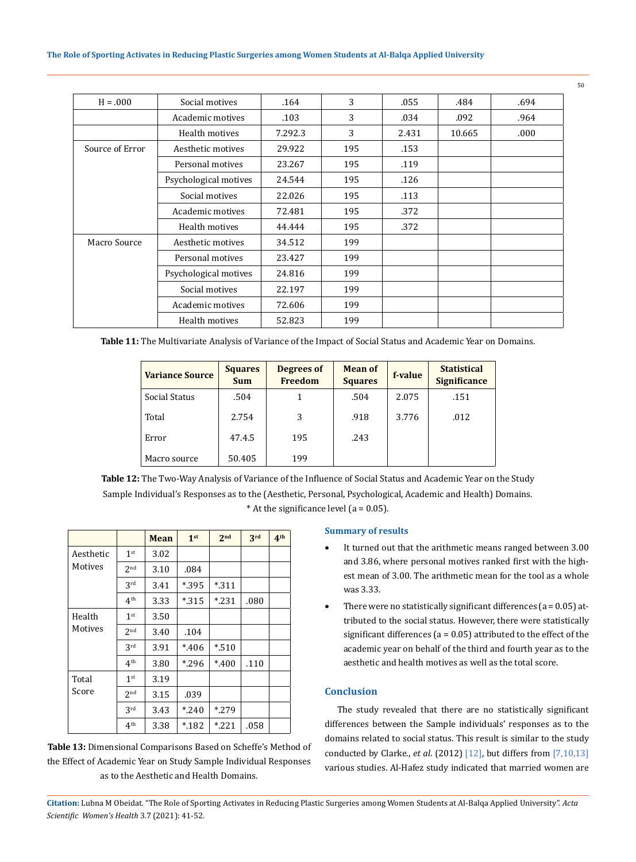### **The Role of Sporting Activates in Reducing Plastic Surgeries among Women Students at Al-Balqa Applied University**

| $H = .000$      | Social motives        | .164    | 3   | .055  | .484   | .694 |
|-----------------|-----------------------|---------|-----|-------|--------|------|
|                 | Academic motives      | .103    | 3   | .034  | .092   | .964 |
|                 | Health motives        | 7.292.3 | 3   | 2.431 | 10.665 | .000 |
| Source of Error | Aesthetic motives     | 29.922  | 195 | .153  |        |      |
|                 | Personal motives      | 23.267  | 195 | .119  |        |      |
|                 | Psychological motives | 24.544  | 195 | .126  |        |      |
|                 | Social motives        | 22.026  | 195 | .113  |        |      |
|                 | Academic motives      | 72.481  | 195 | .372  |        |      |
|                 | Health motives        | 44.444  | 195 | .372  |        |      |
| Macro Source    | Aesthetic motives     | 34.512  | 199 |       |        |      |
|                 | Personal motives      | 23.427  | 199 |       |        |      |
|                 | Psychological motives | 24.816  | 199 |       |        |      |
|                 | Social motives        | 22.197  | 199 |       |        |      |
|                 | Academic motives      | 72.606  | 199 |       |        |      |
|                 | Health motives        | 52.823  | 199 |       |        |      |

**Table 11:** The Multivariate Analysis of Variance of the Impact of Social Status and Academic Year on Domains.

| <b>Variance Source</b> | <b>Squares</b><br><b>Sum</b> | Degrees of<br><b>Freedom</b> | <b>Mean of</b><br><b>Squares</b> | f-value | <b>Statistical</b><br><b>Significance</b> |
|------------------------|------------------------------|------------------------------|----------------------------------|---------|-------------------------------------------|
| Social Status          | .504                         |                              | .504                             | 2.075   | .151                                      |
| Total                  | 2.754                        | 3                            | .918                             | 3.776   | .012                                      |
| Error                  | 47.4.5                       | 195                          | .243                             |         |                                           |
| Macro source           | 50.405                       | 199                          |                                  |         |                                           |

**Table 12:** The Two-Way Analysis of Variance of the Influence of Social Status and Academic Year on the Study Sample Individual's Responses as to the (Aesthetic, Personal, Psychological, Academic and Health) Domains. \* At the significance level  $(a = 0.05)$ .

|                      |                 | Mean | 1 <sup>st</sup> | 2 <sub>nd</sub> | 3rd  | 4 <sup>th</sup> |
|----------------------|-----------------|------|-----------------|-----------------|------|-----------------|
| Aesthetic<br>Motives | 1 <sup>st</sup> | 3.02 |                 |                 |      |                 |
|                      | 2 <sub>nd</sub> | 3.10 | .084            |                 |      |                 |
|                      | 3rd             | 3.41 | *.395           | $*311$          |      |                 |
|                      | 4 <sup>th</sup> | 3.33 | $*315$          | $*$ .231        | .080 |                 |
| Health               | 1 <sup>st</sup> | 3.50 |                 |                 |      |                 |
| Motives              | 2 <sub>nd</sub> | 3.40 | .104            |                 |      |                 |
|                      | 3 <sup>rd</sup> | 3.91 | $*406$          | $*$ .510        |      |                 |
|                      | 4 <sup>th</sup> | 3.80 | $*296$          | $*400$          | .110 |                 |
| Total<br>Score       | 1 <sup>st</sup> | 3.19 |                 |                 |      |                 |
|                      | 2 <sub>nd</sub> | 3.15 | .039            |                 |      |                 |
|                      | 3rd             | 3.43 | $*240$          | $*279$          |      |                 |
|                      | 4 <sup>th</sup> | 3.38 | $*182$          | $*221$          | .058 |                 |

## **Table 13:** Dimensional Comparisons Based on Scheffe's Method of the Effect of Academic Year on Study Sample Individual Responses as to the Aesthetic and Health Domains.

### **Summary of results**

- It turned out that the arithmetic means ranged between 3.00 and 3.86, where personal motives ranked first with the highest mean of 3.00. The arithmetic mean for the tool as a whole was 3.33.
- There were no statistically significant differences ( $a = 0.05$ ) attributed to the social status. However, there were statistically significant differences ( $a = 0.05$ ) attributed to the effect of the academic year on behalf of the third and fourth year as to the aesthetic and health motives as well as the total score.

### **Conclusion**

The study revealed that there are no statistically significant differences between the Sample individuals' responses as to the domains related to social status. This result is similar to the study conducted by Clarke., *et al*. (2012) [12], but differs from [7,10,13] various studies. Al-Hafez study indicated that married women are

**Citation:** Lubna M Obeidat*.* "The Role of Sporting Activates in Reducing Plastic Surgeries among Women Students at Al-Balqa Applied University". *Acta Scientific Women's Health* 3.7 (2021): 41-52.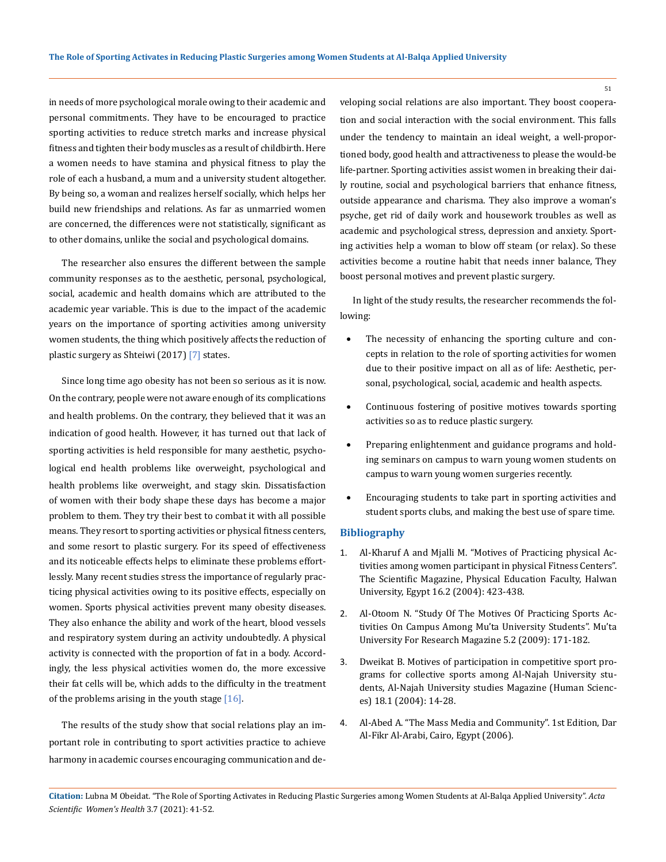in needs of more psychological morale owing to their academic and personal commitments. They have to be encouraged to practice sporting activities to reduce stretch marks and increase physical fitness and tighten their body muscles as a result of childbirth. Here a women needs to have stamina and physical fitness to play the role of each a husband, a mum and a university student altogether. By being so, a woman and realizes herself socially, which helps her build new friendships and relations. As far as unmarried women are concerned, the differences were not statistically, significant as to other domains, unlike the social and psychological domains.

The researcher also ensures the different between the sample community responses as to the aesthetic, personal, psychological, social, academic and health domains which are attributed to the academic year variable. This is due to the impact of the academic years on the importance of sporting activities among university women students, the thing which positively affects the reduction of plastic surgery as Shteiwi (2017) [7] states.

Since long time ago obesity has not been so serious as it is now. On the contrary, people were not aware enough of its complications and health problems. On the contrary, they believed that it was an indication of good health. However, it has turned out that lack of sporting activities is held responsible for many aesthetic, psychological end health problems like overweight, psychological and health problems like overweight, and stagy skin. Dissatisfaction of women with their body shape these days has become a major problem to them. They try their best to combat it with all possible means. They resort to sporting activities or physical fitness centers, and some resort to plastic surgery. For its speed of effectiveness and its noticeable effects helps to eliminate these problems effortlessly. Many recent studies stress the importance of regularly practicing physical activities owing to its positive effects, especially on women. Sports physical activities prevent many obesity diseases. They also enhance the ability and work of the heart, blood vessels and respiratory system during an activity undoubtedly. A physical activity is connected with the proportion of fat in a body. Accordingly, the less physical activities women do, the more excessive their fat cells will be, which adds to the difficulty in the treatment of the problems arising in the youth stage [16].

The results of the study show that social relations play an important role in contributing to sport activities practice to achieve harmony in academic courses encouraging communication and developing social relations are also important. They boost cooperation and social interaction with the social environment. This falls under the tendency to maintain an ideal weight, a well-proportioned body, good health and attractiveness to please the would-be life-partner. Sporting activities assist women in breaking their daily routine, social and psychological barriers that enhance fitness, outside appearance and charisma. They also improve a woman's psyche, get rid of daily work and housework troubles as well as academic and psychological stress, depression and anxiety. Sporting activities help a woman to blow off steam (or relax). So these activities become a routine habit that needs inner balance, They boost personal motives and prevent plastic surgery.

In light of the study results, the researcher recommends the following:

- The necessity of enhancing the sporting culture and concepts in relation to the role of sporting activities for women due to their positive impact on all as of life: Aesthetic, personal, psychological, social, academic and health aspects.
- Continuous fostering of positive motives towards sporting activities so as to reduce plastic surgery.
- Preparing enlightenment and guidance programs and holding seminars on campus to warn young women students on campus to warn young women surgeries recently.
- Encouraging students to take part in sporting activities and student sports clubs, and making the best use of spare time.

### **Bibliography**

- 1. Al-Kharuf A and Mjalli M. "Motives of Practicing physical Activities among women participant in physical Fitness Centers". The Scientific Magazine, Physical Education Faculty, Halwan University, Egypt 16.2 (2004): 423-438.
- 2. Al-Otoom N. "Study Of The Motives Of Practicing Sports Activities On Campus Among Mu'ta University Students". Mu'ta University For Research Magazine 5.2 (2009): 171-182.
- 3. Dweikat B. Motives of participation in competitive sport programs for collective sports among Al-Najah University students, Al-Najah University studies Magazine (Human Sciences) 18.1 (2004): 14-28.
- 4. Al-Abed A. "The Mass Media and Community". 1st Edition, Dar Al-Fikr Al-Arabi, Cairo, Egypt (2006).

**Citation:** Lubna M Obeidat*.* "The Role of Sporting Activates in Reducing Plastic Surgeries among Women Students at Al-Balqa Applied University". *Acta Scientific Women's Health* 3.7 (2021): 41-52.